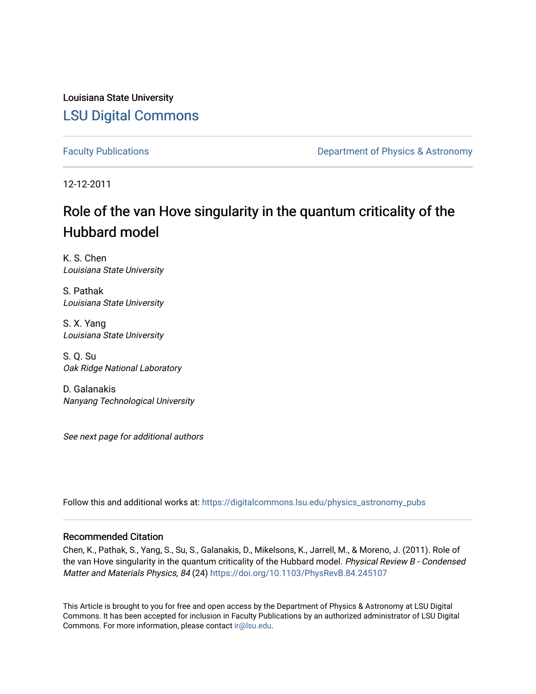Louisiana State University [LSU Digital Commons](https://digitalcommons.lsu.edu/)

[Faculty Publications](https://digitalcommons.lsu.edu/physics_astronomy_pubs) **Exercise 2 and Table 2 and Table 2 and Table 2 and Table 2 and Table 2 and Table 2 and Table 2 and Table 2 and Table 2 and Table 2 and Table 2 and Table 2 and Table 2 and Table 2 and Table 2 and Table** 

12-12-2011

# Role of the van Hove singularity in the quantum criticality of the Hubbard model

K. S. Chen Louisiana State University

S. Pathak Louisiana State University

S. X. Yang Louisiana State University

S. Q. Su Oak Ridge National Laboratory

D. Galanakis Nanyang Technological University

See next page for additional authors

Follow this and additional works at: [https://digitalcommons.lsu.edu/physics\\_astronomy\\_pubs](https://digitalcommons.lsu.edu/physics_astronomy_pubs?utm_source=digitalcommons.lsu.edu%2Fphysics_astronomy_pubs%2F3611&utm_medium=PDF&utm_campaign=PDFCoverPages) 

### Recommended Citation

Chen, K., Pathak, S., Yang, S., Su, S., Galanakis, D., Mikelsons, K., Jarrell, M., & Moreno, J. (2011). Role of the van Hove singularity in the quantum criticality of the Hubbard model. Physical Review B - Condensed Matter and Materials Physics, 84 (24)<https://doi.org/10.1103/PhysRevB.84.245107>

This Article is brought to you for free and open access by the Department of Physics & Astronomy at LSU Digital Commons. It has been accepted for inclusion in Faculty Publications by an authorized administrator of LSU Digital Commons. For more information, please contact [ir@lsu.edu](mailto:ir@lsu.edu).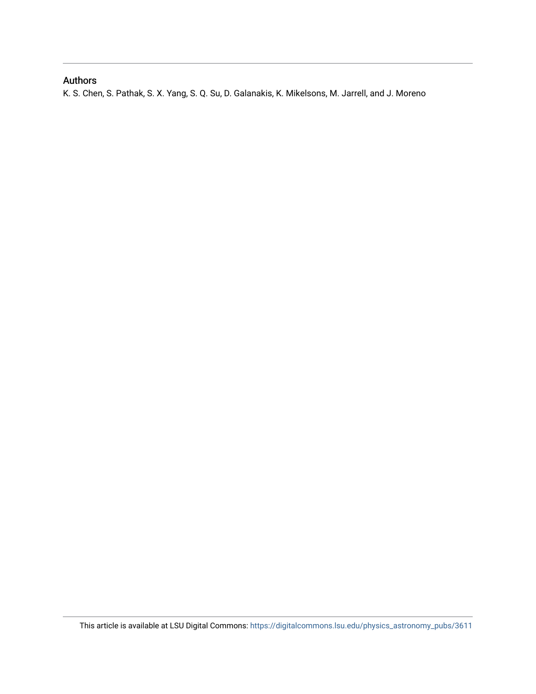## Authors

K. S. Chen, S. Pathak, S. X. Yang, S. Q. Su, D. Galanakis, K. Mikelsons, M. Jarrell, and J. Moreno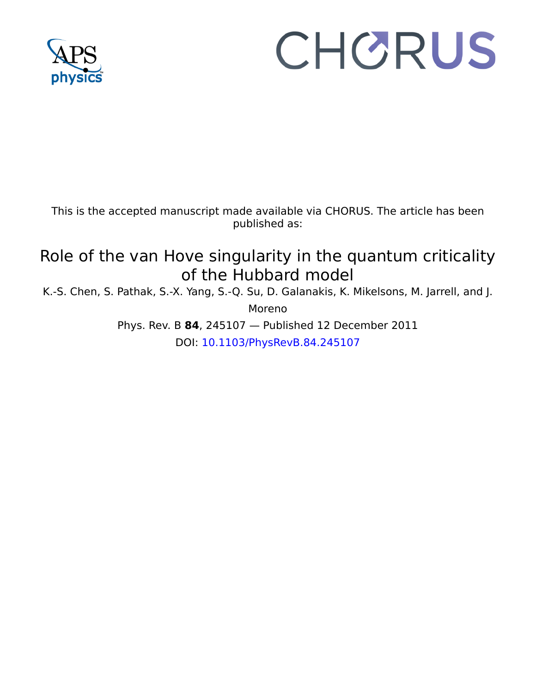

# CHORUS

This is the accepted manuscript made available via CHORUS. The article has been published as:

# Role of the van Hove singularity in the quantum criticality of the Hubbard model

K.-S. Chen, S. Pathak, S.-X. Yang, S.-Q. Su, D. Galanakis, K. Mikelsons, M. Jarrell, and J. Moreno

> Phys. Rev. B **84**, 245107 — Published 12 December 2011 DOI: [10.1103/PhysRevB.84.245107](http://dx.doi.org/10.1103/PhysRevB.84.245107)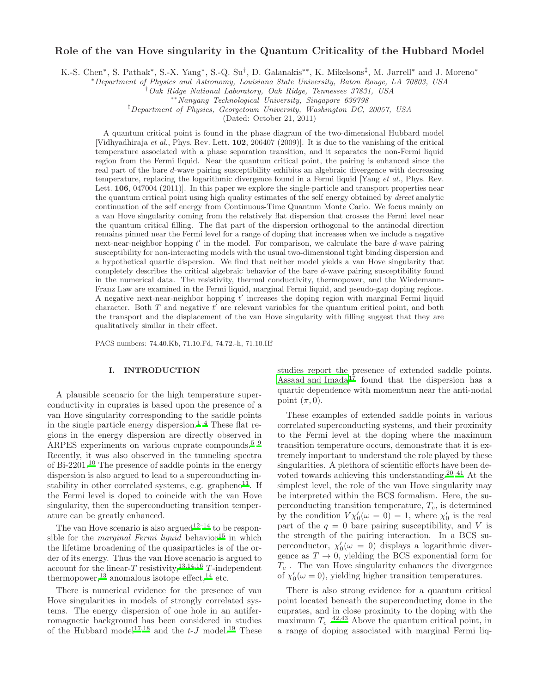#### Role of the van Hove singularity in the Quantum Criticality of the Hubbard Model

K.-S. Chen\*, S. Pathak\*, S.-X. Yang\*, S.-Q. Su<sup>†</sup>, D. Galanakis\*\*, K. Mikelsons<sup>‡</sup>, M. Jarrell\* and J. Moreno\*

<sup>∗</sup>Department of Physics and Astronomy, Louisiana State University, Baton Rouge, LA 70803, USA

∗∗Nanyang Technological University, Singapore 639798

‡Department of Physics, Georgetown University, Washington DC, 20057, USA

(Dated: October 21, 2011)

uation of the self energy from Continuous-Time Quantum Monte C:<br>Howe singularity coming from the relatively flat dispersion that cross<br>natuum critical filling. The flat part of the dispersion orthogonal to<br>anatum critical transportive, replacing the logarithmic divergence from lay a Fermi liquid (Yang c of., Phys. Rev. They increase the logarithmic division to this paper we explore the single-particle and transport properties endo<br>the cont A quantum critical point is found in the phase diagram of the two-dimensional Hubbard model [Vidhyadhiraja et al., Phys. Rev. Lett. 102, 206407 (2009)]. It is due to the vanishing of the critical temperature associated with a phase separation transition, and it separates the non-Fermi liquid region from the Fermi liquid. Near the quantum critical point, the pairing is enhanced since the real part of the bare d-wave pairing susceptibility exhibits an algebraic divergence with decreasing temperature, replacing the logarithmic divergence found in a Fermi liquid [Yang et al., Phys. Rev. Lett. 106, 047004 (2011)]. In this paper we explore the single-particle and transport properties near the quantum critical point using high quality estimates of the self energy obtained by direct analytic continuation of the self energy from Continuous-Time Quantum Monte Carlo. We focus mainly on a van Hove singularity coming from the relatively flat dispersion that crosses the Fermi level near the quantum critical filling. The flat part of the dispersion orthogonal to the antinodal direction remains pinned near the Fermi level for a range of doping that increases when we include a negative next-near-neighbor hopping t' in the model. For comparison, we calculate the bare d-wave pairing susceptibility for non-interacting models with the usual two-dimensional tight binding dispersion and a hypothetical quartic dispersion. We find that neither model yields a van Hove singularity that completely describes the critical algebraic behavior of the bare d-wave pairing susceptibility found in the numerical data. The resistivity, thermal conductivity, thermopower, and the Wiedemann-Franz Law are examined in the Fermi liquid, marginal Fermi liquid, and pseudo-gap doping regions. A negative next-near-neighbor hopping  $t'$  increases the doping region with marginal Fermi liquid character. Both T and negative t' are relevant variables for the quantum critical point, and both the transport and the displacement of the van Hove singularity with filling suggest that they are qualitatively similar in their effect.

PACS numbers: 74.40.Kb, 71.10.Fd, 74.72.-h, 71.10.Hf

#### I. INTRODUCTION

A plausible scenario for the high temperature superconductivity in cuprates is based upon the presence of a van Hove singularity corresponding to the saddle points in the single particle energy dispersion.<sup>1–4</sup> These flat regions in the energy dispersion are directly observed in ARPES experiments on various cuprate compounds.<sup>5–9</sup> Recently, it was also observed in the tunneling spectra of Bi-2201.<sup>10</sup> The presence of saddle points in the energy dispersion is also argued to lead to a superconducting instability in other correlated systems, e.g. graphene<sup>11</sup>. If the Fermi level is doped to coincide with the van Hove singularity, then the superconducting transition temperature can be greatly enhanced.

The van Hove scenario is also argued<sup>12–14</sup> to be responsible for the *marginal Fermi liquid* behavior<sup>15</sup> in which the lifetime broadening of the quasiparticles is of the order of its energy. Thus the van Hove scenario is argued to account for the linear-T resistivity,  $13,14,16$  $13,14,16$  $13,14,16$  T-independent thermopower,<sup>[13](#page-15-9)</sup> anomalous isotope effect,<sup>[14](#page-15-7)</sup> etc.

There is numerical evidence for the presence of van Hove singularities in models of strongly correlated systems. The energy dispersion of one hole in an antiferromagnetic background has been considered in studies of the Hubbard model<sup>[17](#page-15-11)[,18](#page-15-12)</sup> and the  $t-J$  model.<sup>[19](#page-15-13)</sup> These

studies report the presence of extended saddle points. Assaad and Imada<sup>17</sup> found that the dispersion has a quartic dependence with momentum near the anti-nodal point  $(\pi, 0)$ .

These examples of extended saddle points in various correlated superconducting systems, and their proximity to the Fermi level at the doping where the maximum transition temperature occurs, demonstrate that it is extremely important to understand the role played by these singularities. A plethora of scientific efforts have been devoted towards achieving this understanding.  $20-41$  At the simplest level, the role of the van Hove singularity may be interpreted within the BCS formalism. Here, the superconducting transition temperature,  $T_c$ , is determined by the condition  $V\chi_0'(\omega=0)=1$ , where  $\chi_0'$  is the real part of the  $q = 0$  bare pairing susceptibility, and V is the strength of the pairing interaction. In a BCS superconductor,  $\chi_0'(\omega = 0)$  displays a logarithmic divergence as  $T \to 0$ , yielding the BCS exponential form for  $T_c$ . The van Hove singularity enhances the divergence of  $\chi'_0(\omega=0)$ , yielding higher transition temperatures.

There is also strong evidence for a quantum critical point located beneath the superconducting dome in the cuprates, and in close proximity to the doping with the maximum  $T_c$ .<sup>[42](#page-16-2)[,43](#page-16-3)</sup> Above the quantum critical point, in a range of doping associated with marginal Fermi liq-

<sup>†</sup>Oak Ridge National Laboratory, Oak Ridge, Tennessee 37831, USA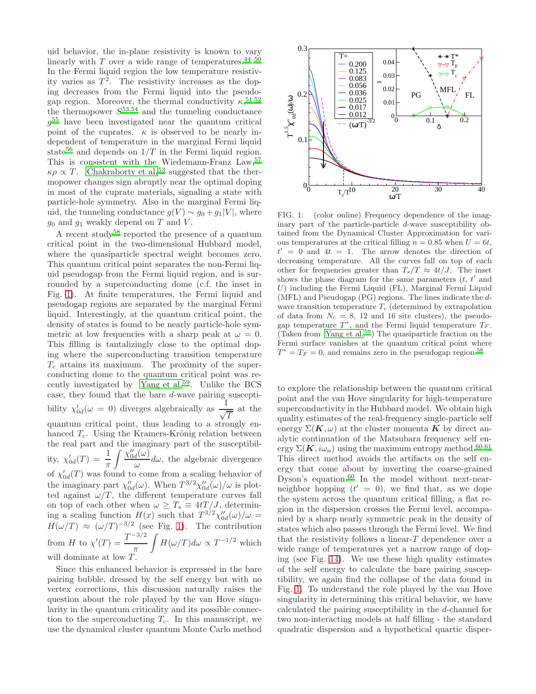uid behavior, the in-plane resistivity is known to vary linearly with  $T$  over a wide range of temperatures.  $44-50$  $44-50$ In the Fermi liquid region the low temperature resistivity varies as  $T^2$ . The resistivity increases as the doping decreases from the Fermi liquid into the pseudogap region. Moreover, the thermal conductivity  $\kappa$ <sup>[51](#page-16-6)[,52](#page-16-7)</sup> the thermopower  $S^{53,54}$  $S^{53,54}$  $S^{53,54}$  $S^{53,54}$  and the tunneling conductance g [55](#page-16-10) have been investigated near the quantum critical point of the cuprates.  $\kappa$  is observed to be nearly independent of temperature in the marginal Fermi liquid state<sup>[56](#page-16-11)</sup> and depends on  $1/T$  in the Fermi liquid region. This is consistent with the Wiedemann-Franz Law, [57](#page-16-12)  $\kappa \rho \propto T$ . [Chakraborty et al.](#page-16-8)<sup>[53](#page-16-8)</sup> suggested that the thermopower changes sign abruptly near the optimal doping in most of the cuprate materials, signaling a state with particle-hole symmetry. Also in the marginal Fermi liquid, the tunneling conductance  $g(V) \sim g_0 + g_1|V|$ , where  $g_0$  and  $g_1$  weakly depend on T and V.

A recent study<sup>[58](#page-16-13)</sup> reported the presence of a quantum critical point in the two-dimensional Hubbard model, where the quasiparticle spectral weight becomes zero. This quantum critical point separates the non-Fermi liquid pseudogap from the Fermi liquid region, and is surrounded by a superconducting dome (c.f. the inset in Fig. [1\)](#page-4-0). At finite temperatures, the Fermi liquid and pseudogap regions are separated by the marginal Fermi liquid. Interestingly, at the quantum critical point, the density of states is found to be nearly particle-hole symmetric at low frequencies with a sharp peak at  $\omega = 0$ . This filling is tantalizingly close to the optimal doping where the superconducting transition temperature  $T_c$  attains its maximum. The proximity of the superconducting dome to the quantum critical point was re-cently investigated by [Yang et al.](#page-16-14)<sup>[59](#page-16-14)</sup>. Unlike the BCS case, they found that the bare d-wave pairing susceptibility  $\chi'_{0d}(\omega = 0)$  diverges algebraically as  $\frac{1}{\sqrt{T}}$ at the quantum critical point, thus leading to a strongly enhanced  $T_c$ . Using the Kramers-Krönig relation between the real part and the imaginary part of the susceptibility,  $\chi'_{0d}(T) = \frac{1}{\pi}$  $\int \frac{\chi''_{0d}(\omega)}{}$  $\frac{d^{(w)}}{\omega}$  d $\omega$ , the algebraic divergence of  $\chi'_{0d}(T)$  was found to come from a scaling behavior of the imaginary part  $\chi''_{0d}(\omega)$ . When  $T^{3/2}\chi''_{0d}(\omega)/\omega$  is plotted against  $\omega/T$ , the different temperature curves fall on top of each other when  $\omega \geq T_s \equiv 4tT/J$ , determining a scaling function  $H(x)$  such that  $T^{3/2}\chi''_{0d}(\omega)/\omega =$  $H(\omega/T) \approx (\omega/T)^{-3/2}$  (see Fig. [1\)](#page-4-0). The contribution from H to  $\chi'(T) = \frac{T^{-3/2}}{T}$ π  $\int H(\omega/T) d\omega \propto T^{-1/2}$  which will dominate at low T

Since this enhanced behavior is expressed in the bare pairing bubble, dressed by the self energy but with no vertex corrections, this discussion naturally raises the question about the role played by the van Hove singularity in the quantum criticality and its possible connection to the superconducting  $T_c$ . In this manuscript, we use the dynamical cluster quantum Monte Carlo method



<span id="page-4-0"></span>FIG. 1: (color online) Frequency dependence of the imaginary part of the particle-particle d-wave susceptibility obtained from the Dynamical Cluster Approximation for various temperatures at the critical filling  $n = 0.85$  when  $U = 6t$ ,  $t' = 0$  and  $4t = 1$ . The arrow denotes the direction of decreasing temperature. All the curves fall on top of each other for frequencies greater than  $T_s/T \approx 4t/J$ . The inset shows the phase diagram for the same parameters  $(t, t'$  and  $U$ ) including the Fermi Liquid (FL), Marginal Fermi Liquid (MFL) and Pseudogap (PG) regions. The lines indicate the dwave transition temperature  $T_c$  (determined by extrapolation of data from  $N_c = 8$ , 12 and 16 site clusters), the pseudogap temperature  $T^*$ , and the Fermi liquid temperature  $T_F$ . (Taken from [Yang et al.](#page-16-14)<sup>59</sup>) The quasiparticle fraction on the Fermi surface vanishes at the quantum critical point where  $T^* = T_F = 0$ , and remains zero in the pseudogap region[.](#page-16-13)<sup>58</sup>

to explore the relationship between the quantum critical point and the van Hove singularity for high-temperature superconductivity in the Hubbard model. We obtain high quality estimates of the real-frequency single-particle self energy  $\Sigma(K, \omega)$  at the cluster momenta K by direct analytic continuation of the Matsubara frequency self energy  $\Sigma(K, i\omega_n)$  using the maximum entropy method.<sup>[60](#page-16-15)[,61](#page-16-16)</sup> This direct method avoids the artifacts on the self energy that come about by inverting the coarse-grained Dyson's equation. $60$  In the model without next-nearneighbor hopping  $(t' = 0)$ , we find that, as we dope the system across the quantum critical filling, a flat region in the dispersion crosses the Fermi level, accompanied by a sharp nearly symmetric peak in the density of states which also passes through the Fermi level. We find that the resistivity follows a linear- $T$  dependence over a wide range of temperatures yet a narrow range of doping (see Fig. [14\)](#page-12-0). We use these high quality estimates of the self energy to calculate the bare pairing susceptibility, we again find the collapse of the data found in Fig. [1.](#page-4-0) To understand the role played by the van Hove singularity in determining this critical behavior, we have calculated the pairing susceptibility in the d-channel for two non-interacting models at half filling - the standard quadratic dispersion and a hypothetical quartic disper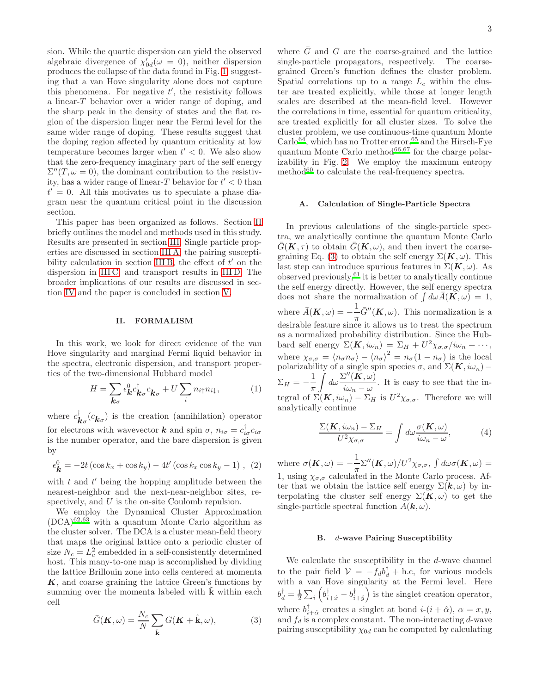sion. While the quartic dispersion can yield the observed algebraic divergence of  $\chi'_{0d}(\omega = 0)$ , neither dispersion produces the collapse of the data found in Fig. [1,](#page-4-0) suggesting that a van Hove singularity alone does not capture this phenomena. For negative  $t'$ , the resistivity follows a linear-T behavior over a wider range of doping, and the sharp peak in the density of states and the flat region of the dispersion linger near the Fermi level for the same wider range of doping. These results suggest that the doping region affected by quantum criticality at low temperature becomes larger when  $t' < 0$ . We also show that the zero-frequency imaginary part of the self energy  $\Sigma''(T, \omega = 0)$ , the dominant contribution to the resistivity, has a wider range of linear-T behavior for  $t' < 0$  than  $t' = 0$ . All this motivates us to speculate a phase diagram near the quantum critical point in the discussion section.

This paper has been organized as follows. Section [II](#page-5-0) briefly outlines the model and methods used in this study. Results are presented in section [III.](#page-6-0) Single particle properties are discussed in section [III A;](#page-6-1) the pairing suscepti-bility calculation in section [III B,](#page-8-0) the effect of  $t'$  on the dispersion in [III C,](#page-8-1) and transport results in [III D.](#page-10-0) The broader implications of our results are discussed in section [IV](#page-13-0) and the paper is concluded in section [V.](#page-15-14)

#### <span id="page-5-0"></span>II. FORMALISM

In this work, we look for direct evidence of the van Hove singularity and marginal Fermi liquid behavior in the spectra, electronic dispersion, and transport properties of the two-dimensional Hubbard model

$$
H = \sum_{\mathbf{k}\sigma} \epsilon_{\mathbf{k}}^0 c_{\mathbf{k}\sigma}^\dagger c_{\mathbf{k}\sigma} + U \sum_i n_{i\uparrow} n_{i\downarrow}, \tag{1}
$$

where  $c^{\dagger}_{\mathbf{k}\sigma}(c_{\mathbf{k}\sigma})$  is the creation (annihilation) operator for electrons with wavevector **k** and spin  $\sigma$ ,  $n_{i\sigma} = c_{i\sigma}^{\dagger} c_{i\sigma}$ is the number operator, and the bare dispersion is given by

<span id="page-5-2"></span>
$$
\epsilon_{\mathbf{k}}^0 = -2t\left(\cos k_x + \cos k_y\right) - 4t'\left(\cos k_x \cos k_y - 1\right), \tag{2}
$$

with  $t$  and  $t'$  being the hopping amplitude between the nearest-neighbor and the next-near-neighbor sites, respectively, and U is the on-site Coulomb repulsion.

We employ the Dynamical Cluster Approximation  $(DCA)^{62,63}$  $(DCA)^{62,63}$  $(DCA)^{62,63}$  $(DCA)^{62,63}$  with a quantum Monte Carlo algorithm as the cluster solver. The DCA is a cluster mean-field theory that maps the original lattice onto a periodic cluster of size  $N_c = L_c^2$  embedded in a self-consistently determined host. This many-to-one map is accomplished by dividing the lattice Brillouin zone into cells centered at momenta  $K$ , and coarse graining the lattice Green's functions by summing over the momenta labeled with  $\hat{\mathbf{k}}$  within each cell

<span id="page-5-1"></span>
$$
\bar{G}(\mathbf{K}, \omega) = \frac{N_c}{N} \sum_{\tilde{\mathbf{k}}} G(\mathbf{K} + \tilde{\mathbf{k}}, \omega), \tag{3}
$$

where  $\overline{G}$  and  $G$  are the coarse-grained and the lattice single-particle propagators, respectively. The coarsegrained Green's function defines the cluster problem. Spatial correlations up to a range  $L_c$  within the cluster are treated explicitly, while those at longer length scales are described at the mean-field level. However the correlations in time, essential for quantum criticality, are treated explicitly for all cluster sizes. To solve the cluster problem, we use continuous-time quantum Monte Carl[o](#page-16-19)64, which has no Trotter error[,](#page-16-20)<sup>65</sup> and the Hirsch-Fye quantum Monte Carlo method $66,67$  $66,67$  for the charge polarizability in Fig. [2.](#page-6-2) We employ the maximum entropy method $60$  to calculate the real-frequency spectra.

#### A. Calculation of Single-Particle Spectra

In previous calculations of the single-particle spectra, we analytically continue the quantum Monte Carlo  $\bar{G}(\mathbf{K}, \tau)$  to obtain  $\bar{G}(\mathbf{K}, \omega)$ , and then invert the coarse-graining Eq. [\(3\)](#page-5-1) to obtain the self energy  $\Sigma(K,\omega)$ . This last step can introduce spurious features in  $\Sigma(K, \omega)$ . As observed previously,  $61$  it is better to analytically continue the self energy directly. However, the self energy spectra does not share the normalization of  $\int d\omega \bar{A}(\mathbf{K}, \omega) = 1$ , where  $\bar{A}$  $(K, \omega) = -\frac{1}{\pi}$  $\frac{1}{\pi} \bar{G}''(\mathbf{K}, \omega)$ . This normalization is a desirable feature since it allows us to treat the spectrum as a normalized probability distribution. Since the Hubbard self energy  $\Sigma(\mathbf{K}, i\omega_n) = \Sigma_H + U^2 \chi_{\sigma,\sigma}/i\omega_n + \cdots$ , where  $\chi_{\sigma,\sigma} = \langle n_{\sigma} n_{\sigma} \rangle - \langle n_{\sigma} \rangle^2 = n_{\sigma} (1 - n_{\sigma})$  is the local polarizability of a single spin species  $\sigma$ , and  $\Sigma(K, i\omega_n)$  –  $\Sigma_H = -\frac{1}{\pi}$ π  $\int d\omega \frac{\Sigma''({\bm{K}},\omega)}{d\omega}$  $\frac{i(\mathbf{r}, \mathbf{w})}{i\omega_n - \omega}$ . It is easy to see that the integral of  $\Sigma(K, i\omega_n) - \Sigma_H$  is  $U^2 \chi_{\sigma, \sigma}$ . Therefore we will analytically continue

$$
\frac{\Sigma(\mathbf{K}, i\omega_n) - \Sigma_H}{U^2 \chi_{\sigma,\sigma}} = \int d\omega \frac{\sigma(\mathbf{K}, \omega)}{i\omega_n - \omega},
$$
 (4)

where  $\sigma(K,\omega) = -\frac{1}{\pi}$  $\frac{1}{\pi} \Sigma''(\bm{K}, \omega) / U^2 \chi_{\sigma, \sigma}, \int d\omega \sigma(\bm{K}, \omega) =$ 1, using  $\chi_{\sigma,\sigma}$  calculated in the Monte Carlo process. After that we obtain the lattice self energy  $\Sigma(\mathbf{k}, \omega)$  by interpolating the cluster self energy  $\Sigma(K,\omega)$  to get the single-particle spectral function  $A(\mathbf{k}, \omega)$ .

#### B. d-wave Pairing Susceptibility

We calculate the susceptibility in the  $d$ -wave channel to the pair field  $V = -f_d b_d^{\dagger} + h.c$ , for various models with a van Hove singularity at the Fermi level. Here  $b_d^{\dagger} = \frac{1}{2} \sum_i \left( b_{i+\hat{x}}^{\dagger} - b_{i+\hat{y}}^{\dagger} \right)$  is the singlet creation operator, where  $b_{i+\hat{\alpha}}^{\dagger}$  creates a singlet at bond  $i-(i+\hat{\alpha})$ ,  $\alpha = x, y$ , and  $f_d$  is a complex constant. The non-interacting d-wave pairing susceptibility  $\chi_{0d}$  can be computed by calculating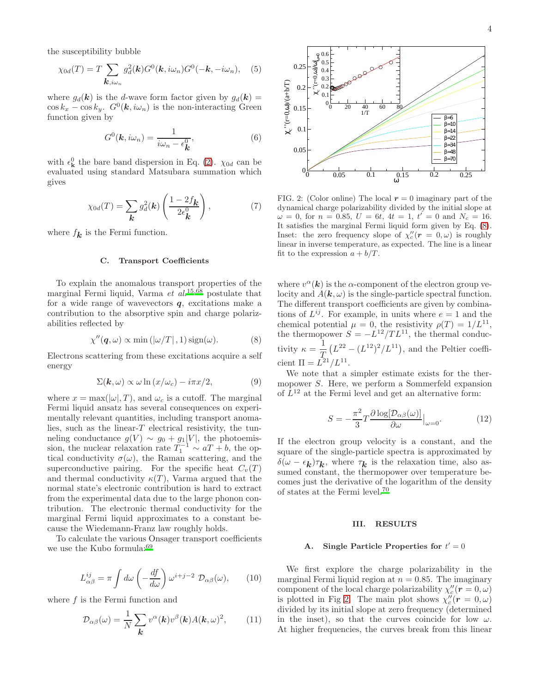the susceptibility bubble

$$
\chi_{0d}(T) = T \sum_{\mathbf{k}, i\omega_n} g_d^2(\mathbf{k}) G^0(\mathbf{k}, i\omega_n) G^0(-\mathbf{k}, -i\omega_n), \quad (5)
$$

where  $q_d(\mathbf{k})$  is the d-wave form factor given by  $g_d(\mathbf{k}) =$  $\cos k_x - \cos k_y$ .  $G^0(\mathbf{k}, i\omega_n)$  is the non-interacting Green function given by

$$
G^{0}(\mathbf{k}, i\omega_{n}) = \frac{1}{i\omega_{n} - \epsilon_{\mathbf{k}}^{0}},
$$
\n(6)

with  $\epsilon_{\mathbf{k}}^0$  the bare band dispersion in Eq. [\(2\)](#page-5-2).  $\chi_{0d}$  can be evaluated using standard Matsubara summation which gives

<span id="page-6-5"></span>
$$
\chi_{0d}(T) = \sum_{\mathbf{k}} g_d^2(\mathbf{k}) \left( \frac{1 - 2f_{\mathbf{k}}}{2\epsilon_{\mathbf{k}}^0} \right),\tag{7}
$$

where  $f_{\boldsymbol{k}}$  is the Fermi function.

#### C. Transport Coefficients

To explain the anomalous transport properties of the marginal Fermi liquid, Varma et  $al.^{15,68}$  $al.^{15,68}$  $al.^{15,68}$  $al.^{15,68}$  postulate that for a wide range of wavevectors  $q$ , excitations make a contribution to the absorptive spin and charge polarizabilities reflected by

<span id="page-6-3"></span>
$$
\chi''(\mathbf{q},\omega) \propto \min\left(|\omega/T|,1\right) \operatorname{sign}(\omega). \tag{8}
$$

Electrons scattering from these excitations acquire a self energy

<span id="page-6-4"></span>
$$
\Sigma(\mathbf{k},\omega) \propto \omega \ln(x/\omega_c) - i\pi x/2, \tag{9}
$$

where  $x = \max(|\omega|, T)$ , and  $\omega_c$  is a cutoff. The marginal Fermi liquid ansatz has several consequences on experimentally relevant quantities, including transport anomalies, such as the linear- $T$  electrical resistivity, the tunneling conductance  $g(V) \sim g_0 + g_1 |V|$ , the photoemission, the nuclear relaxation rate  $T_1^{-1} \sim aT + b$ , the optical conductivity  $\sigma(\omega)$ , the Raman scattering, and the superconductive pairing. For the specific heat  $C_v(T)$ and thermal conductivity  $\kappa(T)$ , Varma argued that the normal state's electronic contribution is hard to extract from the experimental data due to the large phonon contribution. The electronic thermal conductivity for the marginal Fermi liquid approximates to a constant because the Wiedemann-Franz law roughly holds.

To calculate the various Onsager transport coefficients we use the Kubo formula:  $69$ 

<span id="page-6-6"></span>
$$
L_{\alpha\beta}^{ij} = \pi \int d\omega \left( -\frac{df}{d\omega} \right) \omega^{i+j-2} \mathcal{D}_{\alpha\beta}(\omega), \qquad (10)
$$

where  $f$  is the Fermi function and

<span id="page-6-7"></span>
$$
\mathcal{D}_{\alpha\beta}(\omega) = \frac{1}{N} \sum_{\boldsymbol{k}} v^{\alpha}(\boldsymbol{k}) v^{\beta}(\boldsymbol{k}) A(\boldsymbol{k}, \omega)^{2}, \qquad (11)
$$



<span id="page-6-2"></span>FIG. 2: (Color online) The local  $r = 0$  imaginary part of the dynamical charge polarizability divided by the initial slope at  $\omega = 0$ , for  $n = 0.85$ ,  $U = 6t$ ,  $4t = 1$ ,  $t' = 0$  and  $N_c = 16$ . It satisfies the marginal Fermi liquid form given by Eq. [\(8\)](#page-6-3). Inset: the zero frequency slope of  $\chi''_c(r=0,\omega)$  is roughly linear in inverse temperature, as expected. The line is a linear fit to the expression  $a + b/T$ .

where  $v^{\alpha}(\mathbf{k})$  is the  $\alpha$ -component of the electron group velocity and  $A(\mathbf{k}, \omega)$  is the single-particle spectral function. The different transport coefficients are given by combinations of  $L^{ij}$ . For example, in units where  $e = 1$  and the chemical potential  $\mu = 0$ , the resistivity  $\rho(T) = 1/L^{11}$ , the thermopower  $S = -L^{12}/TL^{11}$ , the thermal conductivity  $\kappa = \frac{1}{\tau}$  $\frac{1}{T_0} (L^{22} - (L^{12})^2/L^{11})$ , and the Peltier coefficient  $\Pi = L^{21}/L^{11}$ .

We note that a simpler estimate exists for the thermopower S. Here, we perform a Sommerfeld expansion of  $L^{12}$  at the Fermi level and get an alternative form:

<span id="page-6-8"></span>
$$
S = -\frac{\pi^2}{3} T \frac{\partial \log[D_{\alpha\beta}(\omega)]}{\partial \omega} \Big|_{\omega=0}.
$$
 (12)

If the electron group velocity is a constant, and the square of the single-particle spectra is approximated by  $\delta(\omega - \epsilon_{\mathbf{k}})\tau_{\mathbf{k}}$ , where  $\tau_{\mathbf{k}}$  is the relaxation time, also assumed constant, the thermopower over temperature becomes just the derivative of the logarithm of the density of states at the Fermi level.[70](#page-16-25)

#### <span id="page-6-0"></span>III. RESULTS

#### <span id="page-6-1"></span>A. Single Particle Properties for  $t' = 0$

We first explore the charge polarizability in the marginal Fermi liquid region at  $n = 0.85$ . The imaginary component of the local charge polarizability  $\chi''_c(\bm{r}=0,\omega)$ is plotted in Fig [2.](#page-6-2) The main plot shows  $\chi''_c(\mathbf{r}=0,\omega)$ divided by its initial slope at zero frequency (determined in the inset), so that the curves coincide for low  $\omega$ . At higher frequencies, the curves break from this linear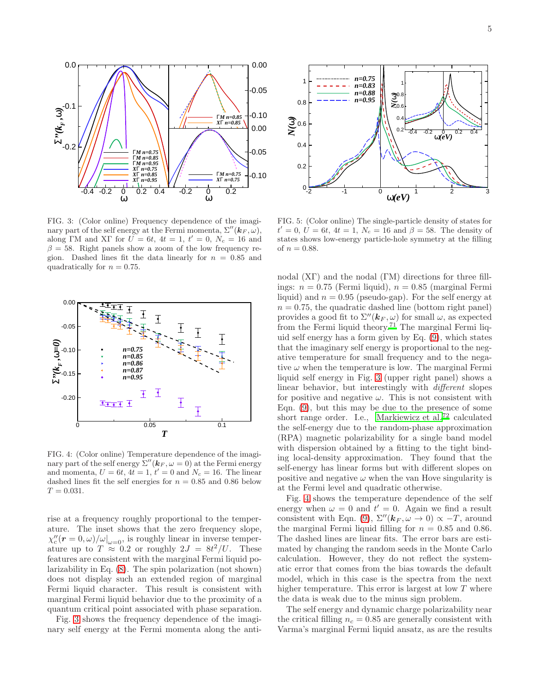

<span id="page-7-0"></span>FIG. 3: (Color online) Frequency dependence of the imaginary part of the self energy at the Fermi momenta,  $\Sigma''(\mathbf{k}_F,\omega)$ , along ΓM and XΓ for  $U = 6t$ ,  $4t = 1$ ,  $t' = 0$ ,  $N_c = 16$  and  $\beta = 58$ . Right panels show a zoom of the low frequency region. Dashed lines fit the data linearly for  $n = 0.85$  and quadratically for  $n = 0.75$ .



<span id="page-7-1"></span>FIG. 4: (Color online) Temperature dependence of the imaginary part of the self energy  $\Sigma''(\mathbf{k}_F,\omega=0)$  at the Fermi energy and momenta,  $U = 6t$ ,  $4t = 1$ ,  $t' = 0$  and  $N_c = 16$ . The linear dashed lines fit the self energies for  $n = 0.85$  and 0.86 below  $T = 0.031.$ 

rise at a frequency roughly proportional to the temperature. The inset shows that the zero frequency slope,  $\chi''_c(r=0,\omega)/\omega|_{\omega=0}$  is roughly linear in inverse temperature up to  $T \approx 0.2$  or roughly  $2J = 8t^2/U$ . These features are consistent with the marginal Fermi liquid polarizability in Eq. [\(8\)](#page-6-3). The spin polarization (not shown) does not display such an extended region of marginal Fermi liquid character. This result is consistent with marginal Fermi liquid behavior due to the proximity of a quantum critical point associated with phase separation.

Fig. [3](#page-7-0) shows the frequency dependence of the imaginary self energy at the Fermi momenta along the anti-



<span id="page-7-2"></span>FIG. 5: (Color online) The single-particle density of states for  $t' = 0, U = 6t, 4t = 1, N_c = 16$  and  $\beta = 58$ . The density of states shows low-energy particle-hole symmetry at the filling of  $n = 0.88$ .

nodal (XΓ) and the nodal (ΓM) directions for three fillings:  $n = 0.75$  (Fermi liquid),  $n = 0.85$  (marginal Fermi liquid) and  $n = 0.95$  (pseudo-gap). For the self energy at  $n = 0.75$ , the quadratic dashed line (bottom right panel) provides a good fit to  $\Sigma''(\mathbf{k}_F,\omega)$  for small  $\omega$ , as expected from the Fermi liquid theory.<sup>[71](#page-16-26)</sup> The marginal Fermi liquid self energy has a form given by Eq. [\(9\)](#page-6-4), which states that the imaginary self energy is proportional to the negative temperature for small frequency and to the negative  $\omega$  when the temperature is low. The marginal Fermi liquid self energy in Fig. [3](#page-7-0) (upper right panel) shows a linear behavior, but interestingly with different slopes for positive and negative  $\omega$ . This is not consistent with Eqn. [\(9\)](#page-6-4), but this may be due to the presence of some short range order. I.e., [Markiewicz et al.](#page-16-27)[72](#page-16-27) calculated the self-energy due to the random-phase approximation (RPA) magnetic polarizability for a single band model with dispersion obtained by a fitting to the tight binding local-density approximation. They found that the self-energy has linear forms but with different slopes on positive and negative  $\omega$  when the van Hove singularity is at the Fermi level and quadratic otherwise.

Fig. [4](#page-7-1) shows the temperature dependence of the self energy when  $\omega = 0$  and  $t' = 0$ . Again we find a result consistent with Eqn. [\(9\)](#page-6-4),  $\Sigma''(\mathbf{k}_F, \omega \to 0) \propto -T$ , around the marginal Fermi liquid filling for  $n = 0.85$  and 0.86. The dashed lines are linear fits. The error bars are estimated by changing the random seeds in the Monte Carlo calculation. However, they do not reflect the systematic error that comes from the bias towards the default model, which in this case is the spectra from the next higher temperature. This error is largest at low T where the data is weak due to the minus sign problem.

The self energy and dynamic charge polarizability near the critical filling  $n_c = 0.85$  are generally consistent with Varma's marginal Fermi liquid ansatz, as are the results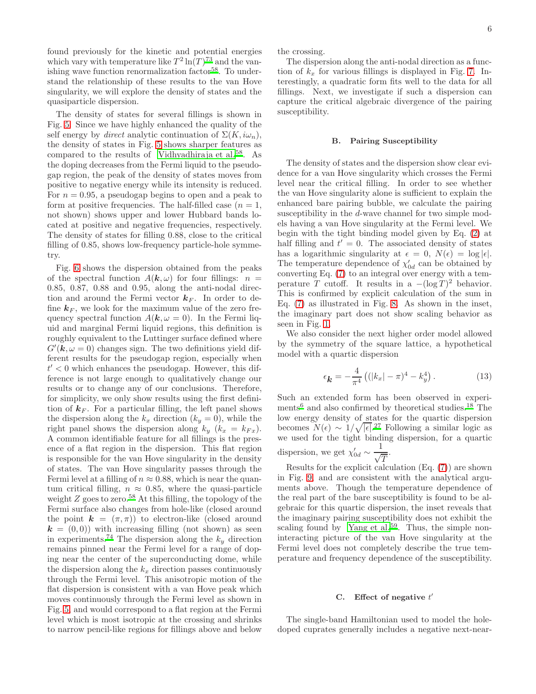found previously for the kinetic and potential energies which vary with temperature like  $T^2 \ln(T)^{73}$  $T^2 \ln(T)^{73}$  $T^2 \ln(T)^{73}$  and the van-ishing wave function renormalization factor<sup>[58](#page-16-13)</sup>. To understand the relationship of these results to the van Hove singularity, we will explore the density of states and the quasiparticle dispersion.

The density of states for several fillings is shown in Fig. [5.](#page-7-2) Since we have highly enhanced the quality of the self energy by *direct* analytic continuation of  $\Sigma(K, i\omega_n)$ , the density of states in Fig. [5](#page-7-2) shows sharper features as compared to the results of [Vidhyadhiraja et al.](#page-16-13)[58](#page-16-13). As the doping decreases from the Fermi liquid to the pseudogap region, the peak of the density of states moves from positive to negative energy while its intensity is reduced. For  $n = 0.95$ , a pseudogap begins to open and a peak to form at positive frequencies. The half-filled case  $(n = 1,$ not shown) shows upper and lower Hubbard bands located at positive and negative frequencies, respectively. The density of states for filling 0.88, close to the critical filling of 0.85, shows low-frequency particle-hole symmetry.

Fig. [6](#page-9-0) shows the dispersion obtained from the peaks of the spectral function  $A(\mathbf{k}, \omega)$  for four fillings:  $n =$ 0.85, 0.87, 0.88 and 0.95, along the anti-nodal direction and around the Fermi vector  $k_F$ . In order to define  $k_F$ , we look for the maximum value of the zero frequency spectral function  $A(\mathbf{k}, \omega = 0)$ . In the Fermi liquid and marginal Fermi liquid regions, this definition is roughly equivalent to the Luttinger surface defined where  $G'(\mathbf{k}, \omega = 0)$  changes sign. The two definitions yield different results for the pseudogap region, especially when  $t' < 0$  which enhances the pseudogap. However, this difference is not large enough to qualitatively change our results or to change any of our conclusions. Therefore, for simplicity, we only show results using the first definition of  $k_F$ . For a particular filling, the left panel shows the dispersion along the  $k_x$  direction  $(k_y = 0)$ , while the right panel shows the dispersion along  $k_y$   $(k_x = k_{Fx})$ . A common identifiable feature for all fillings is the presence of a flat region in the dispersion. This flat region is responsible for the van Hove singularity in the density of states. The van Hove singularity passes through the Fermi level at a filling of  $n \approx 0.88$ , which is near the quantum critical filling,  $n \approx 0.85$ , where the quasi-particle weight Z goes to zero.[58](#page-16-13) At this filling, the topology of the Fermi surface also changes from hole-like (closed around the point  $\mathbf{k} = (\pi, \pi)$  to electron-like (closed around  $k = (0, 0)$  with increasing filling (not shown) as seen in experiments.<sup>[74](#page-16-29)</sup> The dispersion along the  $k_y$  direction remains pinned near the Fermi level for a range of doping near the center of the superconducting dome, while the dispersion along the  $k_x$  direction passes continuously through the Fermi level. This anisotropic motion of the flat dispersion is consistent with a van Hove peak which moves continuously through the Fermi level as shown in Fig. [5,](#page-7-2) and would correspond to a flat region at the Fermi level which is most isotropic at the crossing and shrinks to narrow pencil-like regions for fillings above and below

the crossing.

The dispersion along the anti-nodal direction as a function of  $k_x$  for various fillings is displayed in Fig. [7.](#page-9-1) Interestingly, a quadratic form fits well to the data for all fillings. Next, we investigate if such a dispersion can capture the critical algebraic divergence of the pairing susceptibility.

#### <span id="page-8-0"></span>B. Pairing Susceptibility

The density of states and the dispersion show clear evidence for a van Hove singularity which crosses the Fermi level near the critical filling. In order to see whether the van Hove singularity alone is sufficient to explain the enhanced bare pairing bubble, we calculate the pairing susceptibility in the d-wave channel for two simple models having a van Hove singularity at the Fermi level. We begin with the tight binding model given by Eq. [\(2\)](#page-5-2) at half filling and  $t' = 0$ . The associated density of states has a logarithmic singularity at  $\epsilon = 0$ ,  $N(\epsilon) = \log |\epsilon|$ . The temperature dependence of  $\chi'_{0d}$  can be obtained by converting Eq. [\(7\)](#page-6-5) to an integral over energy with a temperature T cutoff. It results in a  $-(\log T)^2$  behavior. This is confirmed by explicit calculation of the sum in Eq. [\(7\)](#page-6-5) as illustrated in Fig. [8.](#page-10-1) As shown in the inset, the imaginary part does not show scaling behavior as seen in Fig. [1.](#page-4-0)

We also consider the next higher order model allowed by the symmetry of the square lattice, a hypothetical model with a quartic dispersion

<span id="page-8-2"></span>
$$
\epsilon_{\mathbf{k}} = -\frac{4}{\pi^4} \left( (|k_x| - \pi)^4 - k_y^4 \right). \tag{13}
$$

Such an extended form has been observed in experi-ments<sup>[6](#page-15-15)</sup> and also confirmed by theoretical studies.<sup>[18](#page-15-12)</sup> The low energy density of states for the quartic dispersion becomes  $N(\epsilon) \sim 1/\sqrt{|\epsilon|}^{27}$  $N(\epsilon) \sim 1/\sqrt{|\epsilon|}^{27}$  $N(\epsilon) \sim 1/\sqrt{|\epsilon|}^{27}$  Following a similar logic as we used for the tight binding dispersion, for a quartic dispersion, we get  $\chi'_{0d} \sim$ 1  $\sqrt{T}$ .

Results for the explicit calculation (Eq. [\(7\)](#page-6-5)) are shown in Fig. [9,](#page-10-2) and are consistent with the analytical arguments above. Though the temperature dependence of the real part of the bare susceptibility is found to be algebraic for this quartic dispersion, the inset reveals that the imaginary pairing susceptibility does not exhibit the scaling found by [Yang et al.](#page-16-14)<sup>[59](#page-16-14)</sup>. Thus, the simple noninteracting picture of the van Hove singularity at the Fermi level does not completely describe the true temperature and frequency dependence of the susceptibility.

#### <span id="page-8-1"></span>C. Effect of negative  $t'$

The single-band Hamiltonian used to model the holedoped cuprates generally includes a negative next-near-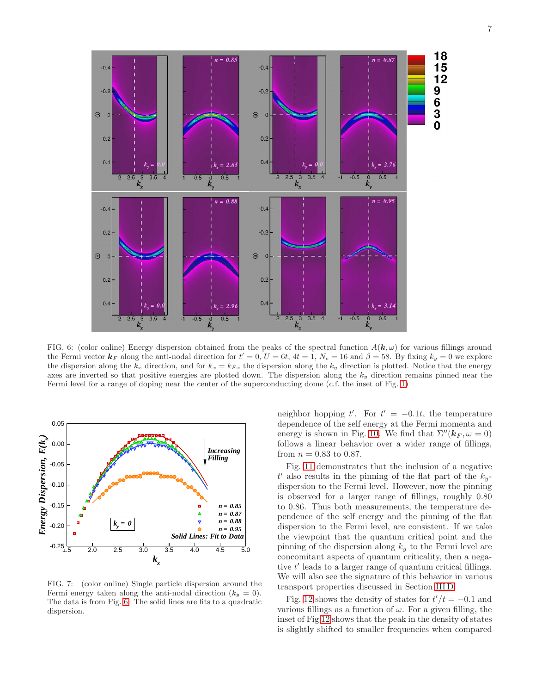

<span id="page-9-0"></span>FIG. 6: (color online) Energy dispersion obtained from the peaks of the spectral function  $A(k, \omega)$  for various fillings around the Fermi vector  $\mathbf{k}_F$  along the anti-nodal direction for  $t' = 0$ ,  $U = 6t$ ,  $4t = 1$ ,  $N_c = 16$  and  $\beta = 58$ . By fixing  $k_y = 0$  we explore the dispersion along the  $k_x$  direction, and for  $k_x = k_{Fx}$  the dispersion along the  $k_y$  direction is plotted. Notice that the energy axes are inverted so that positive energies are plotted down. The dispersion along the  $k_y$  direction remains pinned near the Fermi level for a range of doping near the center of the superconducting dome (c.f. the inset of Fig. [1\)](#page-4-0)



<span id="page-9-1"></span>FIG. 7: (color online) Single particle dispersion around the Fermi energy taken along the anti-nodal direction  $(k_y = 0)$ . The data is from Fig. [6.](#page-9-0) The solid lines are fits to a quadratic dispersion.

neighbor hopping  $t'$ . For  $t' = -0.1t$ , the temperature dependence of the self energy at the Fermi momenta and energy is shown in Fig. [10.](#page-10-3) We find that  $\Sigma''(\mathbf{k}_F, \omega = 0)$ follows a linear behavior over a wider range of fillings, from  $n = 0.83$  to 0.87.

Fig. [11](#page-11-0) demonstrates that the inclusion of a negative  $t'$  also results in the pinning of the flat part of the  $k_y$ dispersion to the Fermi level. However, now the pinning is observed for a larger range of fillings, roughly 0.80 to 0.86. Thus both measurements, the temperature dependence of the self energy and the pinning of the flat dispersion to the Fermi level, are consistent. If we take the viewpoint that the quantum critical point and the pinning of the dispersion along  $k_y$  to the Fermi level are concomitant aspects of quantum criticality, then a negative  $t'$  leads to a larger range of quantum critical fillings. We will also see the signature of this behavior in various transport properties discussed in Section [III D.](#page-10-0)

Fig. [12](#page-11-1) shows the density of states for  $t'/t = -0.1$  and various fillings as a function of  $\omega$ . For a given filling, the inset of Fig [12](#page-11-1) shows that the peak in the density of states is slightly shifted to smaller frequencies when compared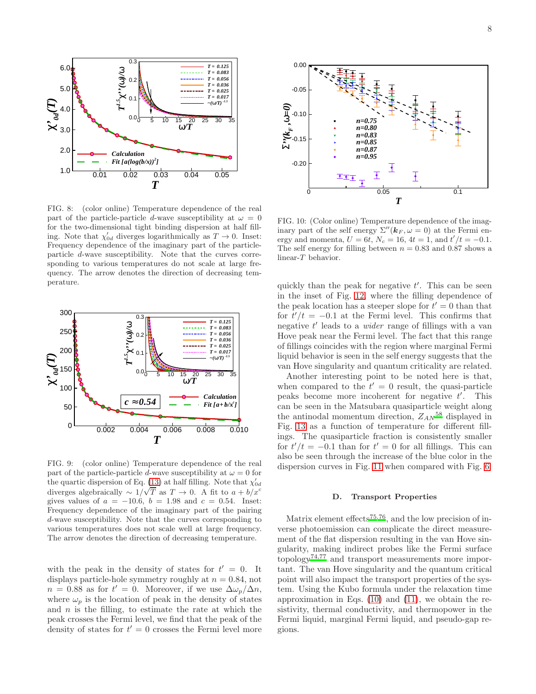

<span id="page-10-1"></span>FIG. 8: (color online) Temperature dependence of the real part of the particle-particle d-wave susceptibility at  $\omega = 0$ for the two-dimensional tight binding dispersion at half filling. Note that  $\chi'_{0d}$  diverges logarithmically as  $T \to 0$ . Inset: Frequency dependence of the imaginary part of the particleparticle d-wave susceptibility. Note that the curves corresponding to various temperatures do not scale at large frequency. The arrow denotes the direction of decreasing temperature.



<span id="page-10-2"></span>FIG. 9: (color online) Temperature dependence of the real part of the particle-particle d-wave susceptibility at  $\omega = 0$  for the quartic dispersion of Eq. [\(13\)](#page-8-2) at half filling. Note that  $\chi'_{0d}$ diverges algebraically  $\sim 1/\sqrt{T}$  as  $T \to 0$ . A fit to  $a + b/x^c$ gives values of  $a = -10.6$ ,  $b = 1.98$  and  $c = 0.54$ . Inset: Frequency dependence of the imaginary part of the pairing d-wave susceptibility. Note that the curves corresponding to various temperatures does not scale well at large frequency. The arrow denotes the direction of decreasing temperature.

with the peak in the density of states for  $t' = 0$ . It displays particle-hole symmetry roughly at  $n = 0.84$ , not  $n = 0.88$  as for  $t' = 0$ . Moreover, if we use  $\Delta \omega_p / \Delta n$ , where  $\omega_p$  is the location of peak in the density of states and  $n$  is the filling, to estimate the rate at which the peak crosses the Fermi level, we find that the peak of the density of states for  $t' = 0$  crosses the Fermi level more



<span id="page-10-3"></span>FIG. 10: (Color online) Temperature dependence of the imaginary part of the self energy  $\Sigma''(\mathbf{k}_F,\omega=0)$  at the Fermi energy and momenta,  $U = 6t$ ,  $N_c = 16$ ,  $4t = 1$ , and  $t'/t = -0.1$ . The self energy for filling between  $n = 0.83$  and 0.87 shows a linear-T behavior.

quickly than the peak for negative  $t'$ . This can be seen in the inset of Fig. [12,](#page-11-1) where the filling dependence of the peak location has a steeper slope for  $t' = 0$  than that for  $t'/t = -0.1$  at the Fermi level. This confirms that negative t' leads to a *wider* range of fillings with a van Hove peak near the Fermi level. The fact that this range of fillings coincides with the region where marginal Fermi liquid behavior is seen in the self energy suggests that the van Hove singularity and quantum criticality are related.

Another interesting point to be noted here is that, when compared to the  $t' = 0$  result, the quasi-particle peaks become more incoherent for negative  $t'$ . This can be seen in the Matsubara quasiparticle weight along the antinodal momentum direction,  $Z_{AN}^{58}$  $Z_{AN}^{58}$  $Z_{AN}^{58}$  displayed in Fig. [13](#page-11-2) as a function of temperature for different fillings. The quasiparticle fraction is consistently smaller for  $t'/t = -0.1$  than for  $t' = 0$  for all fillings. This can also be seen through the increase of the blue color in the dispersion curves in Fig. [11](#page-11-0) when compared with Fig. [6.](#page-9-0)

#### <span id="page-10-0"></span>D. Transport Properties

Matrix element effects<sup> $75,76$  $75,76$ </sup>, and the low precision of inverse photoemission can complicate the direct measurement of the flat dispersion resulting in the van Hove singularity, making indirect probes like the Fermi surface topology[74](#page-16-29)[,77](#page-16-33) and transport measurements more important. The van Hove singularity and the quantum critical point will also impact the transport properties of the system. Using the Kubo formula under the relaxation time approximation in Eqs.  $(10)$  and  $(11)$ , we obtain the resistivity, thermal conductivity, and thermopower in the Fermi liquid, marginal Fermi liquid, and pseudo-gap regions.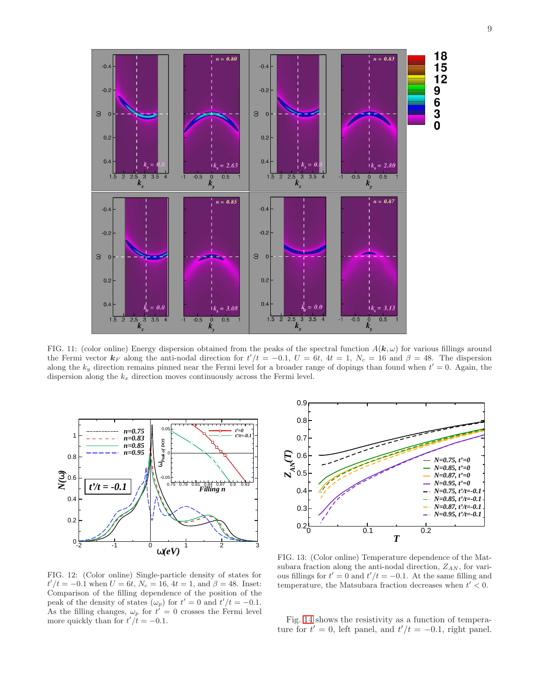

<span id="page-11-0"></span>FIG. 11: (color online) Energy dispersion obtained from the peaks of the spectral function  $A(k,\omega)$  for various fillings around the Fermi vector  $k_F$  along the anti-nodal direction for  $t'/t = -0.1$ ,  $U = 6t$ ,  $4t = 1$ ,  $N_c = 16$  and  $\beta = 48$ . The dispersion along the  $k_y$  direction remains pinned near the Fermi level for a broader range of dopings than found when  $t' = 0$ . Again, the dispersion along the  $k_x$  direction moves continuously across the Fermi level.



<span id="page-11-1"></span>FIG. 12: (Color online) Single-particle density of states for  $t'/t = -0.1$  when  $U = 6t$ ,  $N_c = 16$ ,  $4t = 1$ , and  $\beta = 48$ . Inset: Comparison of the filling dependence of the position of the peak of the density of states  $(\omega_p)$  for  $t' = 0$  and  $t'/t = -0.1$ . As the filling changes,  $\omega_p$  for  $t' = 0$  crosses the Fermi level more quickly than for  $t'/t = -0.1$ .



<span id="page-11-2"></span>FIG. 13: (Color online) Temperature dependence of the Matsubara fraction along the anti-nodal direction,  $Z_{AN}$ , for various fillings for  $t' = 0$  and  $t'/t = -0.1$ . At the same filling and temperature, the Matsubara fraction decreases when  $t' < 0$ .

Fig. [14](#page-12-0) shows the resistivity as a function of temperature for  $t' = 0$ , left panel, and  $t'/t = -0.1$ , right panel.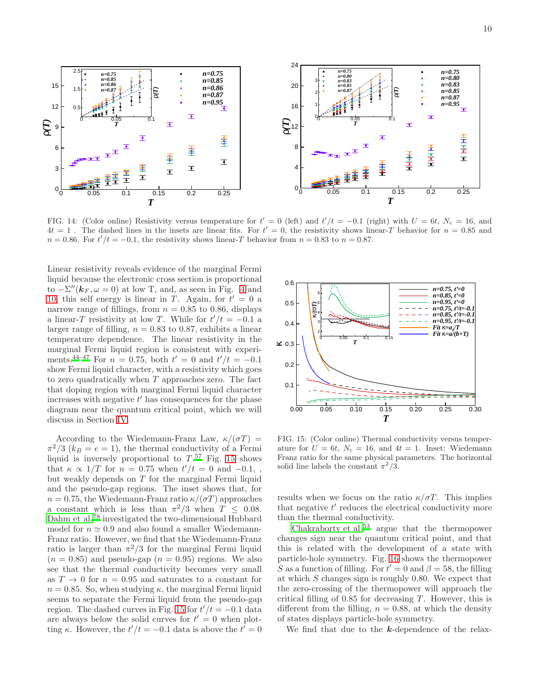

<span id="page-12-0"></span>FIG. 14: (Color online) Resistivity versus temperature for  $t' = 0$  (left) and  $t'/t = -0.1$  (right) with  $U = 6t$ ,  $N_c = 16$ , and  $4t = 1$ . The dashed lines in the insets are linear fits. For  $t' = 0$ , the resistivity shows linear-T behavior for  $n = 0.85$  and  $n = 0.86$ . For  $t'/t = -0.1$ , the resistivity shows linear-T behavior from  $n = 0.83$  to  $n = 0.87$ .

Linear resistivity reveals evidence of the marginal Fermi liquid because the electronic cross section is proportional to  $-\Sigma''(\mathbf{k}_F, \omega = 0)$  at low T, and, as seen in Fig. [4](#page-7-1) and [10,](#page-10-3) this self energy is linear in T. Again, for  $t' = 0$  a narrow range of fillings, from  $n = 0.85$  to 0.86, displays a linear-T resistivity at low T. While for  $t'/t = -0.1$  a larger range of filling,  $n = 0.83$  to 0.87, exhibits a linear temperature dependence. The linear resistivity in the marginal Fermi liquid region is consistent with experi-ments.<sup>[44](#page-16-4)[–47](#page-16-34)</sup> For  $n = 0.75$ , both  $t' = 0$  and  $t'/t = -0.1$ show Fermi liquid character, with a resistivity which goes to zero quadratically when  $T$  approaches zero. The fact that doping region with marginal Fermi liquid character increases with negative  $t'$  has consequences for the phase diagram near the quantum critical point, which we will discuss in Section [IV.](#page-13-0)

According to the Wiedemann-Franz Law,  $\kappa/(\sigma T)$  =  $\pi^2/3$  ( $k_B = e = 1$ ), the thermal conductivity of a Fermi liquid is inversely proportional to  $T<sup>57</sup>$  $T<sup>57</sup>$  $T<sup>57</sup>$  Fig. [15](#page-12-1) shows that  $\kappa \propto 1/T$  for  $n = 0.75$  when  $t'/t = 0$  and  $-0.1$ , but weakly depends on T for the marginal Fermi liquid and the pseudo-gap regions. The inset shows that, for  $n = 0.75$ , the Wiedemann-Franz ratio  $\kappa/(\sigma T)$  approaches a constant which is less than  $\pi^2/3$  when  $T \leq 0.08$ . [Dahm et al.](#page-16-35)[78](#page-16-35) investigated the two-dimensional Hubbard model for  $n \approx 0.9$  and also found a smaller Wiedemann-Franz ratio. However, we find that the Wiedemann-Franz ratio is larger than  $\pi^2/3$  for the marginal Fermi liquid  $(n = 0.85)$  and pseudo-gap  $(n = 0.95)$  regions. We also see that the thermal conductivity becomes very small as  $T \to 0$  for  $n = 0.95$  and saturates to a constant for  $n = 0.85$ . So, when studying  $\kappa$ , the marginal Fermi liquid seems to separate the Fermi liquid from the pseudo-gap region. The dashed curves in Fig. [15](#page-12-1) for  $t'/t = -0.1$  data are always below the solid curves for  $t' = 0$  when plotting  $\kappa$ . However, the  $t'/t = -0.1$  data is above the  $t' = 0$ 



<span id="page-12-1"></span>FIG. 15: (Color online) Thermal conductivity versus temperature for  $U = 6t$ ,  $N_c = 16$ , and  $4t = 1$ . Inset: Wiedemann Franz ratio for the same physical parameters. The horizontal solid line labels the constant  $\pi^2/3$ .

results when we focus on the ratio  $\kappa/\sigma T$ . This implies that negative  $t'$  reduces the electrical conductivity more than the thermal conductivity.

[Chakraborty et al.](#page-16-8)[53](#page-16-8) argue that the thermopower changes sign near the quantum critical point, and that this is related with the development of a state with particle-hole symmetry. Fig. [16](#page-13-1) shows the thermopower S as a function of filling. For  $t' = 0$  and  $\beta = 58$ , the filling at which  $S$  changes sign is roughly 0.80. We expect that the zero-crossing of the thermopower will approach the critical filling of 0.85 for decreasing  $T$ . However, this is different from the filling,  $n = 0.88$ , at which the density of states displays particle-hole symmetry.

We find that due to the  $k$ -dependence of the relax-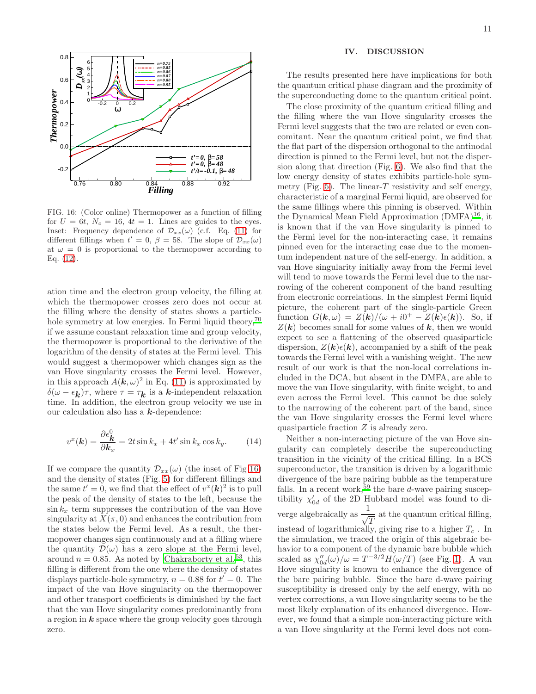



<span id="page-13-1"></span>FIG. 16: (Color online) Thermopower as a function of filling for  $U = 6t$ ,  $N_c = 16$ ,  $4t = 1$ . Lines are guides to the eyes. Inset: Frequency dependence of  $\mathcal{D}_{xx}(\omega)$  (c.f. Eq. [\(11\)](#page-6-7) for different fillings when  $t' = 0$ ,  $\beta = 58$ . The slope of  $\mathcal{D}_{xx}(\omega)$ at  $\omega = 0$  is proportional to the thermopower according to Eq. [\(12\)](#page-6-8).

ation time and the electron group velocity, the filling at which the thermopower crosses zero does not occur at the filling where the density of states shows a particle-hole symmetry at low energies. In Fermi liquid theory,<sup>[70](#page-16-25)</sup> if we assume constant relaxation time and group velocity, the thermopower is proportional to the derivative of the logarithm of the density of states at the Fermi level. This would suggest a thermopower which changes sign as the van Hove singularity crosses the Fermi level. However, in this approach  $A(\mathbf{k}, \omega)^2$  in Eq. [\(11\)](#page-6-7) is approximated by  $\delta(\omega - \epsilon_{\mathbf{k}})\tau$ , where  $\tau = \tau_{\mathbf{k}}$  is a k-independent relaxation time. In addition, the electron group velocity we use in our calculation also has a  $k$ -dependence:

$$
v^{x}(\mathbf{k}) = \frac{\partial \epsilon_{\mathbf{k}}^{0}}{\partial \mathbf{k}_{x}} = 2t \sin k_{x} + 4t' \sin k_{x} \cos k_{y}.
$$
 (14)

If we compare the quantity  $\mathcal{D}_{xx}(\omega)$  (the inset of Fig [16\)](#page-13-1) and the density of states (Fig. [5\)](#page-7-2) for different fillings and the same  $t' = 0$ , we find that the effect of  $v^x(\mathbf{k})^2$  is to pull the peak of the density of states to the left, because the  $\sin k_x$  term suppresses the contribution of the van Hove singularity at  $X(\pi, 0)$  and enhances the contribution from the states below the Fermi level. As a result, the thermopower changes sign continuously and at a filling where the quantity  $\mathcal{D}(\omega)$  has a zero slope at the Fermi level, around  $n = 0.85$ . As noted by [Chakraborty et al.](#page-16-8)<sup>[53](#page-16-8)</sup>, this filling is different from the one where the density of states displays particle-hole symmetry,  $n = 0.88$  for  $t' = 0$ . The impact of the van Hove singularity on the thermopower and other transport coefficients is diminished by the fact that the van Hove singularity comes predominantly from a region in  $k$  space where the group velocity goes through zero.

#### <span id="page-13-0"></span>IV. DISCUSSION

The results presented here have implications for both the quantum critical phase diagram and the proximity of the superconducting dome to the quantum critical point.

The close proximity of the quantum critical filling and the filling where the van Hove singularity crosses the Fermi level suggests that the two are related or even concomitant. Near the quantum critical point, we find that the flat part of the dispersion orthogonal to the antinodal direction is pinned to the Fermi level, but not the dispersion along that direction (Fig. [6\)](#page-9-0). We also find that the low energy density of states exhibits particle-hole sym-metry (Fig. [5\)](#page-7-2). The linear- $T$  resistivity and self energy, characteristic of a marginal Fermi liquid, are observed for the same fillings where this pinning is observed. Within the Dynamical Mean Field Approximation (DMFA)<sup>[16](#page-15-10)</sup>, it is known that if the van Hove singularity is pinned to the Fermi level for the non-interacting case, it remains pinned even for the interacting case due to the momentum independent nature of the self-energy. In addition, a van Hove singularity initially away from the Fermi level will tend to move towards the Fermi level due to the narrowing of the coherent component of the band resulting from electronic correlations. In the simplest Fermi liquid picture, the coherent part of the single-particle Green function  $G(\mathbf{k}, \omega) = Z(\mathbf{k})/(\omega + i0^+ - Z(\mathbf{k})\epsilon(\mathbf{k}))$ . So, if  $Z(\mathbf{k})$  becomes small for some values of  $\mathbf{k}$ , then we would expect to see a flattening of the observed quasiparticle dispersion,  $Z(\mathbf{k})\epsilon(\mathbf{k})$ , accompanied by a shift of the peak towards the Fermi level with a vanishing weight. The new result of our work is that the non-local correlations included in the DCA, but absent in the DMFA, are able to move the van Hove singularity, with finite weight, to and even across the Fermi level. This cannot be due solely to the narrowing of the coherent part of the band, since the van Hove singularity crosses the Fermi level where quasiparticle fraction Z is already zero.

Neither a non-interacting picture of the van Hove singularity can completely describe the superconducting transition in the vicinity of the critical filling. In a BCS superconductor, the transition is driven by a logarithmic divergence of the bare pairing bubble as the temperature falls. In a recent work,<sup>[59](#page-16-14)</sup> the bare d-wave pairing susceptibility  $\chi'_{0d}$  of the 2D Hubbard model was found to diverge algebraically as  $\frac{1}{\sqrt{T}}$ at the quantum critical filling, instead of logarithmically, giving rise to a higher  $T_c$ . In the simulation, we traced the origin of this algebraic behavior to a component of the dynamic bare bubble which scaled as  $\chi''_{0d}(\omega)/\omega = T^{-3/2}H(\omega/T)$  (see Fig. [1\)](#page-4-0). A van Hove singularity is known to enhance the divergence of the bare pairing bubble. Since the bare d-wave pairing susceptibility is dressed only by the self energy, with no vertex corrections, a van Hove singularity seems to be the most likely explanation of its enhanced divergence. However, we found that a simple non-interacting picture with a van Hove singularity at the Fermi level does not com-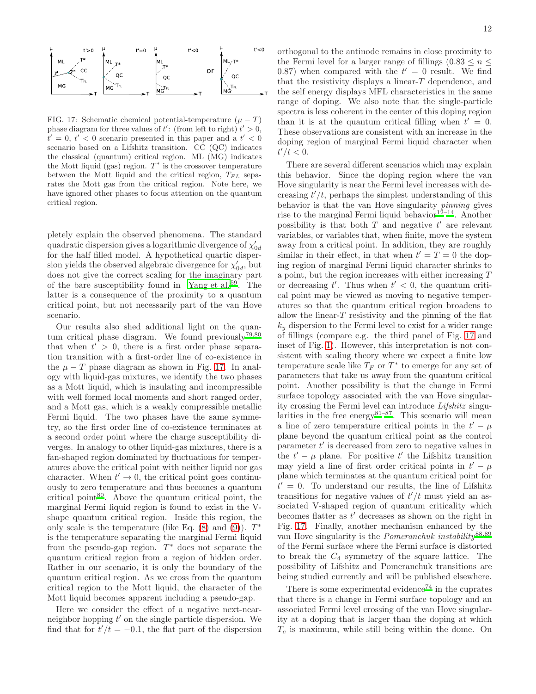

<span id="page-14-0"></span>FIG. 17: Schematic chemical potential-temperature  $(\mu - T)$ phase diagram for three values of t': (from left to right)  $t' > 0$ ,  $t' = 0, t' < 0$  scenario presented in this paper and a  $t' < 0$ scenario based on a Lifshitz transition. CC (QC) indicates the classical (quantum) critical region. ML (MG) indicates the Mott liquid (gas) region.  $T^*$  is the crossover temperature between the Mott liquid and the critical region,  $T_{FL}$  separates the Mott gas from the critical region. Note here, we have ignored other phases to focus attention on the quantum critical region.

pletely explain the observed phenomena. The standard quadratic dispersion gives a logarithmic divergence of  $\chi'_{0d}$ for the half filled model. A hypothetical quartic dispersion yields the observed algebraic divergence for  $\chi'_{0d}$ , but does not give the correct scaling for the imaginary part of the bare susceptibility found in [Yang et al.](#page-16-14)<sup>[59](#page-16-14)</sup>. The latter is a consequence of the proximity to a quantum critical point, but not necessarily part of the van Hove scenario.

Our results also shed additional light on the quantum critical phase diagram. We found previously $^{79,80}$  $^{79,80}$  $^{79,80}$  $^{79,80}$ that when  $t' > 0$ , there is a first order phase separation transition with a first-order line of co-existence in the  $\mu - T$  phase diagram as shown in Fig. [17.](#page-14-0) In analogy with liquid-gas mixtures, we identify the two phases as a Mott liquid, which is insulating and incompressible with well formed local moments and short ranged order, and a Mott gas, which is a weakly compressible metallic Fermi liquid. The two phases have the same symmetry, so the first order line of co-existence terminates at a second order point where the charge susceptibility diverges. In analogy to other liquid-gas mixtures, there is a fan-shaped region dominated by fluctuations for temperatures above the critical point with neither liquid nor gas character. When  $t' \to 0$ , the critical point goes continuously to zero temperature and thus becomes a quantum critical point $80$ . Above the quantum critical point, the marginal Fermi liquid region is found to exist in the Vshape quantum critical region. Inside this region, the only scale is the temperature (like Eq.  $(8)$  and  $(9)$ ).  $T^*$ is the temperature separating the marginal Fermi liquid from the pseudo-gap region.  $T^*$  does not separate the quantum critical region from a region of hidden order. Rather in our scenario, it is only the boundary of the quantum critical region. As we cross from the quantum critical region to the Mott liquid, the character of the Mott liquid becomes apparent including a pseudo-gap.

Here we consider the effect of a negative next-nearneighbor hopping  $t'$  on the single particle dispersion. We find that for  $t'/t = -0.1$ , the flat part of the dispersion

orthogonal to the antinode remains in close proximity to the Fermi level for a larger range of fillings  $(0.83 \le n \le$ 0.87) when compared with the  $t' = 0$  result. We find that the resistivity displays a linear- $T$  dependence, and the self energy displays MFL characteristics in the same range of doping. We also note that the single-particle spectra is less coherent in the center of this doping region than it is at the quantum critical filling when  $t' = 0$ . These observations are consistent with an increase in the doping region of marginal Fermi liquid character when  $t'/t < 0.$ 

There are several different scenarios which may explain this behavior. Since the doping region where the van Hove singularity is near the Fermi level increases with decreasing  $t'/t$ , perhaps the simplest understanding of this behavior is that the van Hove singularity pinning gives rise to the marginal Fermi liquid behavior $1^{2-14}$ . Another possibility is that both  $T$  and negative  $t'$  are relevant variables, or variables that, when finite, move the system away from a critical point. In addition, they are roughly similar in their effect, in that when  $t' = T = 0$  the doping region of marginal Fermi liquid character shrinks to a point, but the region increases with either increasing T or decreasing  $t'$ . Thus when  $t' < 0$ , the quantum critical point may be viewed as moving to negative temperatures so that the quantum critical region broadens to allow the linear- $T$  resistivity and the pinning of the flat  $k<sub>y</sub>$  dispersion to the Fermi level to exist for a wider range of fillings (compare e.g. the third panel of Fig. [17](#page-14-0) and inset of Fig. [1\)](#page-4-0). However, this interpretation is not consistent with scaling theory where we expect a finite low temperature scale like  $T_F$  or  $T^*$  to emerge for any set of parameters that take us away from the quantum critical point. Another possibility is that the change in Fermi surface topology associated with the van Hove singularity crossing the Fermi level can introduce Lifshitz singularities in the free energy $81-87$  $81-87$ . This scenario will mean a line of zero temperature critical points in the  $t' - \mu$ plane beyond the quantum critical point as the control parameter  $t'$  is decreased from zero to negative values in the  $t' - \mu$  plane. For positive t' the Lifshitz transition may yield a line of first order critical points in  $t' - \mu$ plane which terminates at the quantum critical point for  $t' = 0$ . To understand our results, the line of Lifshitz transitions for negative values of  $t'/t$  must yield an associated V-shaped region of quantum criticality which becomes flatter as  $t'$  decreases as shown on the right in Fig. [17.](#page-14-0) Finally, another mechanism enhanced by the van Hove singularity is the *Pomeranchuk instability*<sup>[88](#page-17-1)[,89](#page-17-2)</sup> of the Fermi surface where the Fermi surface is distorted to break the  $C_4$  symmetry of the square lattice. The possibility of Lifshitz and Pomeranchuk transitions are being studied currently and will be published elsewhere.

There is some experimental evidence<sup>[74](#page-16-29)</sup> in the cuprates that there is a change in Fermi surface topology and an associated Fermi level crossing of the van Hove singularity at a doping that is larger than the doping at which  $T_c$  is maximum, while still being within the dome. On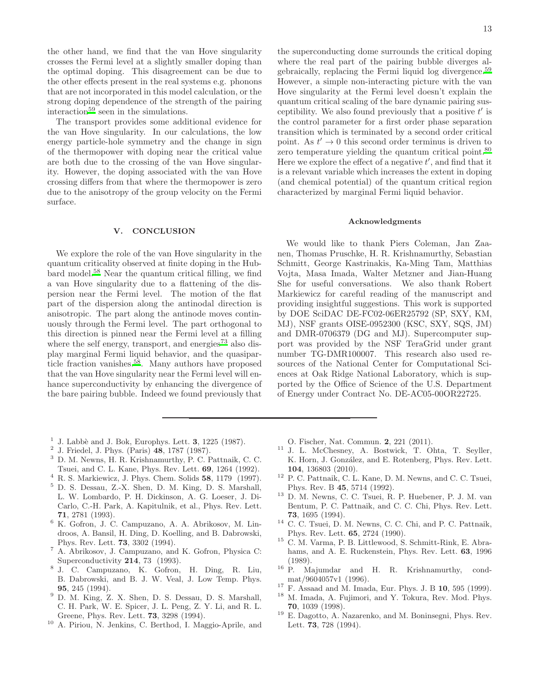the other hand, we find that the van Hove singularity crosses the Fermi level at a slightly smaller doping than the optimal doping. This disagreement can be due to the other effects present in the real systems e.g. phonons that are not incorporated in this model calculation, or the strong doping dependence of the strength of the pairing interaction<sup>[59](#page-16-14)</sup> seen in the simulations.

The transport provides some additional evidence for the van Hove singularity. In our calculations, the low energy particle-hole symmetry and the change in sign of the thermopower with doping near the critical value are both due to the crossing of the van Hove singularity. However, the doping associated with the van Hove crossing differs from that where the thermopower is zero due to the anisotropy of the group velocity on the Fermi surface.

#### <span id="page-15-14"></span>V. CONCLUSION

We explore the role of the van Hove singularity in the quantum criticality observed at finite doping in the Hubbard model.[58](#page-16-13) Near the quantum critical filling, we find a van Hove singularity due to a flattening of the dispersion near the Fermi level. The motion of the flat part of the dispersion along the antinodal direction is anisotropic. The part along the antinode moves continuously through the Fermi level. The part orthogonal to this direction is pinned near the Fermi level at a filling where the self energy, transport, and energies<sup>[73](#page-16-28)</sup> also display marginal Fermi liquid behavior, and the quasiparticle fraction vanishes.[58](#page-16-13). Many authors have proposed that the van Hove singularity near the Fermi level will enhance superconductivity by enhancing the divergence of the bare pairing bubble. Indeed we found previously that

the superconducting dome surrounds the critical doping where the real part of the pairing bubble diverges algebraically, replacing the Fermi liquid log divergence.[59](#page-16-14) However, a simple non-interacting picture with the van Hove singularity at the Fermi level doesn't explain the quantum critical scaling of the bare dynamic pairing susceptibility. We also found previously that a positive  $t'$  is the control parameter for a first order phase separation transition which is terminated by a second order critical point. As  $t' \to 0$  this second order terminus is driven to zero temperature yielding the quantum critical point.<sup>[80](#page-16-37)</sup> Here we explore the effect of a negative  $t'$ , and find that it is a relevant variable which increases the extent in doping (and chemical potential) of the quantum critical region characterized by marginal Fermi liquid behavior.

#### Acknowledgments

We would like to thank Piers Coleman, Jan Zaanen, Thomas Pruschke, H. R. Krishnamurthy, Sebastian Schmitt, George Kastrinakis, Ka-Ming Tam, Matthias Vojta, Masa Imada, Walter Metzner and Jian-Huang She for useful conversations. We also thank Robert Markiewicz for careful reading of the manuscript and providing insightful suggestions. This work is supported by DOE SciDAC DE-FC02-06ER25792 (SP, SXY, KM, MJ), NSF grants OISE-0952300 (KSC, SXY, SQS, JM) and DMR-0706379 (DG and MJ). Supercomputer support was provided by the NSF TeraGrid under grant number TG-DMR100007. This research also used resources of the National Center for Computational Sciences at Oak Ridge National Laboratory, which is supported by the Office of Science of the U.S. Department of Energy under Contract No. DE-AC05-00OR22725.

- <span id="page-15-0"></span> $<sup>1</sup>$  J. Labbè and J. Bok, Europhys. Lett. 3, 1225 (1987).</sup>
- 2 J. Friedel, J. Phys. (Paris) 48, 1787 (1987).
- <sup>3</sup> D. M. Newns, H. R. Krishnamurthy, P. C. Pattnaik, C. C. Tsuei, and C. L. Kane, Phys. Rev. Lett. 69, 1264 (1992).
- <span id="page-15-1"></span> $4$  R. S. Markiewicz, J. Phys. Chem. Solids  $58$ , 1179 (1997). <sup>5</sup> D. S. Dessau, Z.-X. Shen, D. M. King, D. S. Marshall,
- <span id="page-15-2"></span>L. W. Lombardo, P. H. Dickinson, A. G. Loeser, J. Di-Carlo, C.-H. Park, A. Kapitulnik, et al., Phys. Rev. Lett. 71, 2781 (1993).
- <span id="page-15-15"></span> $^6$  K. Gofron, J. C. Campuzano, A. A. Abrikosov, M. Lindroos, A. Bansil, H. Ding, D. Koelling, and B. Dabrowski, Phys. Rev. Lett. 73, 3302 (1994).
- <sup>7</sup> A. Abrikosov, J. Campuzano, and K. Gofron, Physica C: Superconductivity 214, 73 (1993).
- 8 J. C. Campuzano, K. Gofron, H. Ding, R. Liu, B. Dabrowski, and B. J. W. Veal, J. Low Temp. Phys. 95, 245 (1994).
- <span id="page-15-3"></span><sup>9</sup> D. M. King, Z. X. Shen, D. S. Dessau, D. S. Marshall, C. H. Park, W. E. Spicer, J. L. Peng, Z. Y. Li, and R. L. Greene, Phys. Rev. Lett. 73, 3298 (1994).
- <span id="page-15-4"></span><sup>10</sup> A. Piriou, N. Jenkins, C. Berthod, I. Maggio-Aprile, and
- O. Fischer, Nat. Commun. 2, 221 (2011).
- <span id="page-15-5"></span><sup>11</sup> J. L. McChesney, A. Bostwick, T. Ohta, T. Seyller, K. Horn, J. González, and E. Rotenberg, Phys. Rev. Lett. 104, 136803 (2010).
- <span id="page-15-6"></span> $^{12}$  P. C. Pattnaik, C. L. Kane, D. M. Newns, and C. C. Tsuei, Phys. Rev. B 45, 5714 (1992).
- <span id="page-15-9"></span><sup>13</sup> D. M. Newns, C. C. Tsuei, R. P. Huebener, P. J. M. van Bentum, P. C. Pattnaik, and C. C. Chi, Phys. Rev. Lett. 73, 1695 (1994).
- <span id="page-15-7"></span> $^{14}$  C. C. Tsuei, D. M. Newns, C. C. Chi, and P. C. Pattnaik,  $\,$ Phys. Rev. Lett. 65, 2724 (1990).
- <span id="page-15-8"></span><sup>15</sup> C. M. Varma, P. B. Littlewood, S. Schmitt-Rink, E. Abrahams, and A. E. Ruckenstein, Phys. Rev. Lett. 63, 1996 (1989).
- <span id="page-15-10"></span><sup>16</sup> P. Majumdar and H. R. Krishnamurthy, condmat/9604057v1 (1996).
- <span id="page-15-11"></span><sup>17</sup> F. Assaad and M. Imada, Eur. Phys. J. B  $10, 595$  (1999).
- <span id="page-15-12"></span><sup>18</sup> M. Imada, A. Fujimori, and Y. Tokura, Rev. Mod. Phys. 70, 1039 (1998).
- <span id="page-15-13"></span><sup>19</sup> E. Dagotto, A. Nazarenko, and M. Boninsegni, Phys. Rev. Lett. 73, 728 (1994).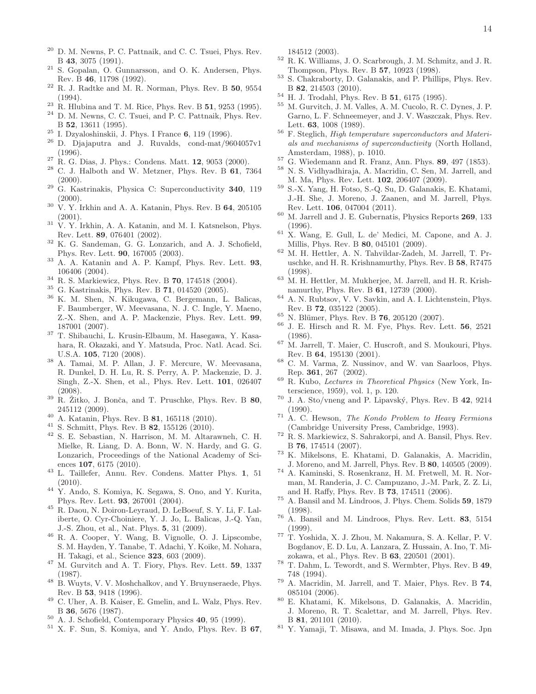- <span id="page-16-0"></span> $20$  D. M. Newns, P. C. Pattnaik, and C. C. Tsuei, Phys. Rev. B 43, 3075 (1991).
- <sup>21</sup> S. Gopalan, O. Gunnarsson, and O. K. Andersen, Phys. Rev. B 46, 11798 (1992).
- R. J. Radtke and M. R. Norman, Phys. Rev. B 50, 9554 (1994).
- <sup>23</sup> R. Hlubina and T. M. Rice, Phys. Rev. B **51**, 9253 (1995).
- <sup>24</sup> D. M. Newns, C. C. Tsuei, and P. C. Pattnaik, Phys. Rev. B 52, 13611 (1995).
- $^{25}$ I. Dzyaloshinskii, J. Phys. I France 6, 119 (1996).
- <sup>26</sup> D. Djajaputra and J. Ruvalds, cond-mat/9604057v1 (1996).
- <span id="page-16-30"></span> $27$  R. G. Dias, J. Phys.: Condens. Matt. 12, 9053 (2000).
- $28$  C. J. Halboth and W. Metzner, Phys. Rev. B 61, 7364  $(2000).$
- $29$  G. Kastrinakis, Physica C: Superconductivity 340, 119  $(2000).$
- $30\,$  V. Y. Irkhin and A. A. Katanin, Phys. Rev. B  $\bf{64},\,205105$ (2001).
- $31$  V. Y. Irkhin, A. A. Katanin, and M. I. Katsnelson, Phys. Rev. Lett. 89, 076401 (2002).
- <sup>32</sup> K. G. Sandeman, G. G. Lonzarich, and A. J. Schofield, Phys. Rev. Lett. 90, 167005 (2003).
- $33$  A. A. Katanin and A. P. Kampf, Phys. Rev. Lett.  $93$ , 106406 (2004).
- <sup>34</sup> R. S. Markiewicz, Phys. Rev. B 70, 174518 (2004).
- <sup>35</sup> G. Kastrinakis, Phys. Rev. B **71**, 014520 (2005).
- <sup>36</sup> K. M. Shen, N. Kikugawa, C. Bergemann, L. Balicas, F. Baumberger, W. Meevasana, N. J. C. Ingle, Y. Maeno, Z.-X. Shen, and A. P. Mackenzie, Phys. Rev. Lett. 99, 187001 (2007).
- <sup>37</sup> T. Shibauchi, L. Krusin-Elbaum, M. Hasegawa, Y. Kasahara, R. Okazaki, and Y. Matsuda, Proc. Natl. Acad. Sci. U.S.A. 105, 7120 (2008).
- <sup>38</sup> A. Tamai, M. P. Allan, J. F. Mercure, W. Meevasana, R. Dunkel, D. H. Lu, R. S. Perry, A. P. Mackenzie, D. J. Singh, Z.-X. Shen, et al., Phys. Rev. Lett. 101, 026407 (2008).
- $39$  R. Žitko, J. Bonča, and T. Pruschke, Phys. Rev. B 80, 245112 (2009).
- <sup>40</sup> A. Katanin, Phys. Rev. B **81**, 165118 (2010).
- <span id="page-16-1"></span>S. Schmitt, Phys. Rev. B **82**, 155126 (2010).
- <span id="page-16-2"></span><sup>42</sup> S. E. Sebastian, N. Harrison, M. M. Altarawneh, C. H. Mielke, R. Liang, D. A. Bonn, W. N. Hardy, and G. G. Lonzarich, Proceedings of the National Academy of Sciences 107, 6175 (2010).
- <span id="page-16-3"></span><sup>43</sup> L. Taillefer, Annu. Rev. Condens. Matter Phys. 1, 51 (2010).
- <span id="page-16-4"></span><sup>44</sup> Y. Ando, S. Komiya, K. Segawa, S. Ono, and Y. Kurita, Phys. Rev. Lett. 93, 267001 (2004).
- <sup>45</sup> R. Daou, N. Doiron-Leyraud, D. LeBoeuf, S. Y. Li, F. Laliberte, O. Cyr-Choiniere, Y. J. Jo, L. Balicas, J.-Q. Yan, J.-S. Zhou, et al., Nat. Phys. 5, 31 (2009).
- <sup>46</sup> R. A. Cooper, Y. Wang, B. Vignolle, O. J. Lipscombe, S. M. Hayden, Y. Tanabe, T. Adachi, Y. Koike, M. Nohara, H. Takagi, et al., Science 323, 603 (2009).
- <span id="page-16-34"></span><sup>47</sup> M. Gurvitch and A. T. Fiory, Phys. Rev. Lett. 59, 1337 (1987).
- <sup>48</sup> B. Wuyts, V. V. Moshchalkov, and Y. Bruynseraede, Phys. Rev. B 53, 9418 (1996).
- <sup>49</sup> C. Uher, A. B. Kaiser, E. Gmelin, and L. Walz, Phys. Rev. B 36, 5676 (1987).
- <span id="page-16-5"></span>A. J. Schofield, Contemporary Physics 40, 95 (1999).
- <span id="page-16-6"></span> $51$  X. F. Sun, S. Komiya, and Y. Ando, Phys. Rev. B  $67$ ,

184512 (2003).

- <span id="page-16-7"></span><sup>52</sup> R. K. Williams, J. O. Scarbrough, J. M. Schmitz, and J. R. Thompson, Phys. Rev. B 57, 10923 (1998).
- <span id="page-16-8"></span><sup>53</sup> S. Chakraborty, D. Galanakis, and P. Phillips, Phys. Rev. B 82, 214503 (2010).
- <span id="page-16-9"></span><sup>54</sup> H. J. Trodahl, Phys. Rev. B 51, 6175 (1995).
- <span id="page-16-10"></span><sup>55</sup> M. Gurvitch, J. M. Valles, A. M. Cucolo, R. C. Dynes, J. P. Garno, L. F. Schneemeyer, and J. V. Waszczak, Phys. Rev. Lett. 63, 1008 (1989).
- <span id="page-16-11"></span> $^{56}$  F. Steglich, *High temperature superconductors and Materi*als and mechanisms of superconductivity (North Holland, Amsterdam, 1988), p. 1010.
- <span id="page-16-12"></span><sup>57</sup> G. Wiedemann and R. Franz, Ann. Phys. 89, 497 (1853).
- <span id="page-16-13"></span><sup>58</sup> N. S. Vidhyadhiraja, A. Macridin, C. Sen, M. Jarrell, and M. Ma, Phys. Rev. Lett. 102, 206407 (2009).
- <span id="page-16-14"></span><sup>59</sup> S.-X. Yang, H. Fotso, S.-Q. Su, D. Galanakis, E. Khatami, J.-H. She, J. Moreno, J. Zaanen, and M. Jarrell, Phys. Rev. Lett. 106, 047004 (2011).
- <span id="page-16-15"></span> $^{60}$  M. Jarrell and J. E. Gubernatis, Physics Reports  $\bf 269,$   $\bf 133$ (1996).
- <span id="page-16-16"></span> $61$  X. Wang, E. Gull, L. de' Medici, M. Capone, and A. J. Millis, Phys. Rev. B 80, 045101 (2009).
- <span id="page-16-17"></span><sup>62</sup> M. H. Hettler, A. N. Tahvildar-Zadeh, M. Jarrell, T. Pruschke, and H. R. Krishnamurthy, Phys. Rev. B 58, R7475 (1998).
- <span id="page-16-18"></span><sup>63</sup> M. H. Hettler, M. Mukherjee, M. Jarrell, and H. R. Krishnamurthy, Phys. Rev. B 61, 12739 (2000).
- <span id="page-16-19"></span><sup>64</sup> A. N. Rubtsov, V. V. Savkin, and A. I. Lichtenstein, Phys. Rev. B 72, 035122 (2005).
- <span id="page-16-20"></span> $65$  N. Blümer, Phys. Rev. B 76, 205120 (2007).
- <span id="page-16-21"></span> $^{66}$  J. E. Hirsch and R. M. Fye, Phys. Rev. Lett.  $56, 2521$ (1986).
- <span id="page-16-22"></span><sup>67</sup> M. Jarrell, T. Maier, C. Huscroft, and S. Moukouri, Phys. Rev. B 64, 195130 (2001).
- <span id="page-16-23"></span><sup>68</sup> C. M. Varma, Z. Nussinov, and W. van Saarloos, Phys. Rep. 361, 267 (2002).
- <span id="page-16-24"></span> $69$  R. Kubo, *Lectures in Theoretical Physics* (New York, Interscience, 1959), vol. 1, p. 120.
- <span id="page-16-25"></span> $70$  J. A. Sto/vneng and P. Lipavský, Phys. Rev. B 42, 9214 (1990).
- <span id="page-16-26"></span> $71$  A. C. Hewson, The Kondo Problem to Heavy Fermions (Cambridge University Press, Cambridge, 1993).
- <span id="page-16-27"></span><sup>72</sup> R. S. Markiewicz, S. Sahrakorpi, and A. Bansil, Phys. Rev. B 76, 174514 (2007).
- <span id="page-16-28"></span><sup>73</sup> K. Mikelsons, E. Khatami, D. Galanakis, A. Macridin, J. Moreno, and M. Jarrell, Phys. Rev. B 80, 140505 (2009).
- <span id="page-16-29"></span><sup>74</sup> A. Kaminski, S. Rosenkranz, H. M. Fretwell, M. R. Norman, M. Randeria, J. C. Campuzano, J.-M. Park, Z. Z. Li, and H. Raffy, Phys. Rev. B 73, 174511 (2006).
- <span id="page-16-31"></span><sup>75</sup> A. Bansil and M. Lindroos, J. Phys. Chem. Solids 59, 1879 (1998).
- <span id="page-16-32"></span><sup>76</sup> A. Bansil and M. Lindroos, Phys. Rev. Lett. 83, 5154 (1999).
- <span id="page-16-33"></span><sup>77</sup> T. Yoshida, X. J. Zhou, M. Nakamura, S. A. Kellar, P. V. Bogdanov, E. D. Lu, A. Lanzara, Z. Hussain, A. Ino, T. Mizokawa, et al., Phys. Rev. B 63, 220501 (2001).
- <span id="page-16-35"></span><sup>78</sup> T. Dahm, L. Tewordt, and S. Wermbter, Phys. Rev. B 49, 748 (1994).
- <span id="page-16-36"></span><sup>79</sup> A. Macridin, M. Jarrell, and T. Maier, Phys. Rev. B 74, 085104 (2006).
- <span id="page-16-37"></span><sup>80</sup> E. Khatami, K. Mikelsons, D. Galanakis, A. Macridin, J. Moreno, R. T. Scalettar, and M. Jarrell, Phys. Rev. B 81, 201101 (2010).
- <span id="page-16-38"></span><sup>81</sup> Y. Yamaji, T. Misawa, and M. Imada, J. Phys. Soc. Jpn